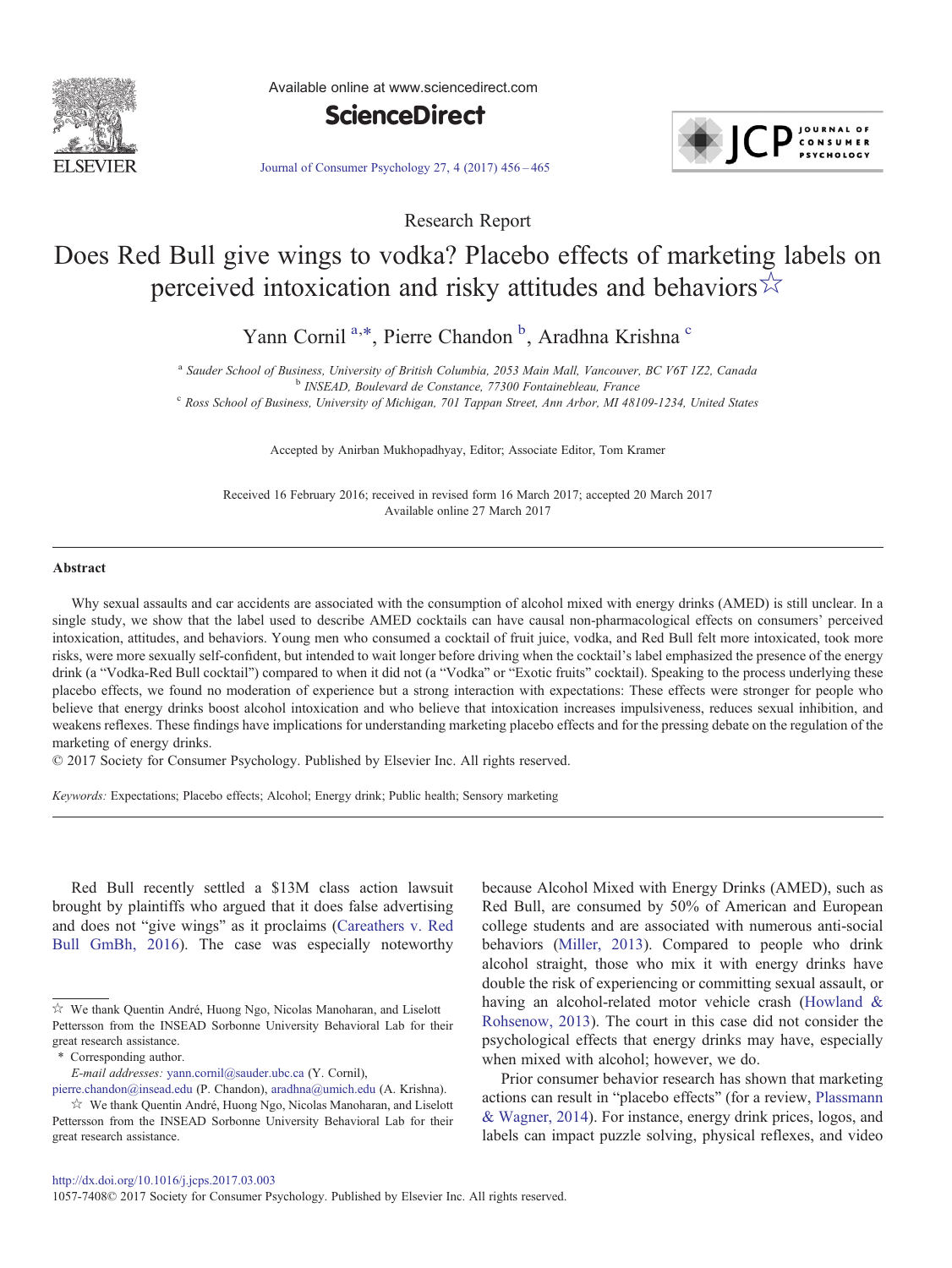

Available online at www.sciencedirect.com





[Journal of Consumer Psychology 27, 4 \(2017\) 456](http://dx.doi.org/10.1016/j.jcps.2017.03.003)–465

Research Report

# Does Red Bull give wings to vodka? Placebo effects of marketing labels on perceived intoxication and risky attitudes and behaviors  $\hat{\lambda}$

Yann Cornil<sup>a,\*</sup>, Pierre Chandon<sup>b</sup>, Aradhna Krishna<sup>c</sup>

<sup>a</sup> Sauder School of Business, University of British Columbia, 2053 Main Mall, Vancouver, BC V6T 1Z2, Canada<br><sup>b</sup> INSEAD, Boulevard de Constance, 77300 Fontainebleau, France<br><sup>c</sup> Ross School of Business, University of Michi

Accepted by Anirban Mukhopadhyay, Editor; Associate Editor, Tom Kramer

Received 16 February 2016; received in revised form 16 March 2017; accepted 20 March 2017 Available online 27 March 2017

### Abstract

Why sexual assaults and car accidents are associated with the consumption of alcohol mixed with energy drinks (AMED) is still unclear. In a single study, we show that the label used to describe AMED cocktails can have causal non-pharmacological effects on consumers' perceived intoxication, attitudes, and behaviors. Young men who consumed a cocktail of fruit juice, vodka, and Red Bull felt more intoxicated, took more risks, were more sexually self-confident, but intended to wait longer before driving when the cocktail's label emphasized the presence of the energy drink (a "Vodka-Red Bull cocktail") compared to when it did not (a "Vodka" or "Exotic fruits" cocktail). Speaking to the process underlying these placebo effects, we found no moderation of experience but a strong interaction with expectations: These effects were stronger for people who believe that energy drinks boost alcohol intoxication and who believe that intoxication increases impulsiveness, reduces sexual inhibition, and weakens reflexes. These findings have implications for understanding marketing placebo effects and for the pressing debate on the regulation of the marketing of energy drinks.

© 2017 Society for Consumer Psychology. Published by Elsevier Inc. All rights reserved.

Keywords: Expectations; Placebo effects; Alcohol; Energy drink; Public health; Sensory marketing

Red Bull recently settled a \$13M class action lawsuit brought by plaintiffs who argued that it does false advertising and does not "give wings" as it proclaims [\(Careathers v. Red](#page-8-0) [Bull GmBh, 2016](#page-8-0)). The case was especially noteworthy

because Alcohol Mixed with Energy Drinks (AMED), such as Red Bull, are consumed by 50% of American and European college students and are associated with numerous anti-social behaviors ([Miller, 2013\)](#page-8-0). Compared to people who drink alcohol straight, those who mix it with energy drinks have double the risk of experiencing or committing sexual assault, or having an alcohol-related motor vehicle crash ([Howland &](#page-8-0) [Rohsenow, 2013\)](#page-8-0). The court in this case did not consider the psychological effects that energy drinks may have, especially when mixed with alcohol; however, we do.

Prior consumer behavior research has shown that marketing actions can result in "placebo effects" (for a review, [Plassmann](#page-9-0) [& Wagner, 2014](#page-9-0)). For instance, energy drink prices, logos, and labels can impact puzzle solving, physical reflexes, and video

<sup>☆</sup> We thank Quentin André, Huong Ngo, Nicolas Manoharan, and Liselott Pettersson from the INSEAD Sorbonne University Behavioral Lab for their great research assistance.

<sup>⁎</sup> Corresponding author.

E-mail addresses: [yann.cornil@sauder.ubc.ca](mailto:yann.cornil@sauder.ubc.ca) (Y. Cornil),

[pierre.chandon@insead.edu](mailto:pierre.chandon@insead.edu) (P. Chandon), [aradhna@umich.edu](mailto:aradhna@umich.edu) (A. Krishna). ☆ We thank Quentin André, Huong Ngo, Nicolas Manoharan, and Liselott Pettersson from the INSEAD Sorbonne University Behavioral Lab for their great research assistance.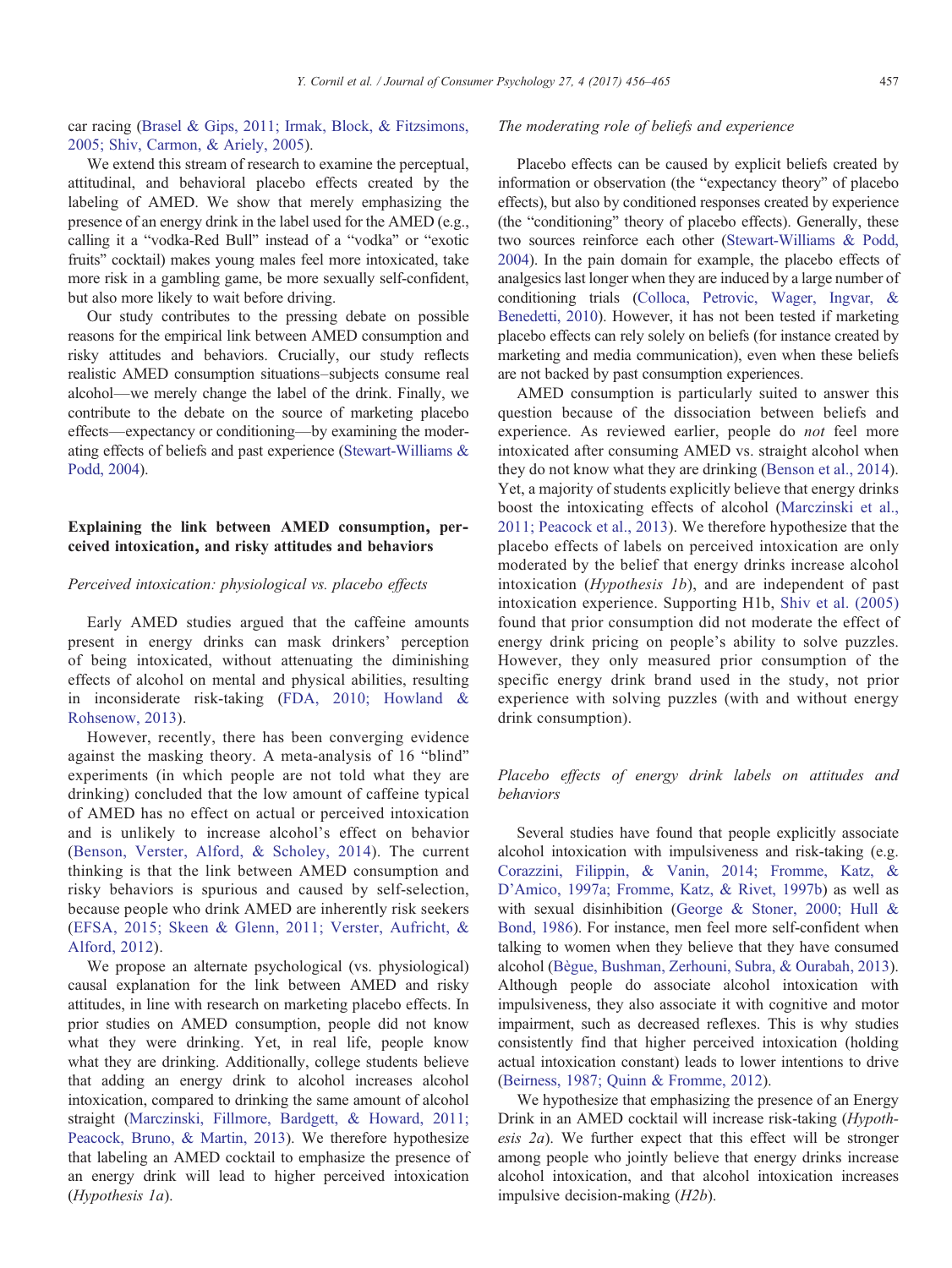car racing ([Brasel & Gips, 2011; Irmak, Block, & Fitzsimons,](#page-8-0) [2005; Shiv, Carmon, & Ariely, 2005\)](#page-8-0).

We extend this stream of research to examine the perceptual. attitudinal, and behavioral placebo effects created by the labeling of AMED. We show that merely emphasizing the presence of an energy drink in the label used for the AMED (e.g., calling it a "vodka-Red Bull" instead of a "vodka" or "exotic fruits" cocktail) makes young males feel more intoxicated, take more risk in a gambling game, be more sexually self-confident, but also more likely to wait before driving.

Our study contributes to the pressing debate on possible reasons for the empirical link between AMED consumption and risky attitudes and behaviors. Crucially, our study reflects realistic AMED consumption situations–subjects consume real alcohol—we merely change the label of the drink. Finally, we contribute to the debate on the source of marketing placebo effects—expectancy or conditioning—by examining the moderating effects of beliefs and past experience [\(Stewart-Williams &](#page-9-0) [Podd, 2004](#page-9-0)).

# Explaining the link between AMED consumption, perceived intoxication, and risky attitudes and behaviors

# Perceived intoxication: physiological vs. placebo effects

Early AMED studies argued that the caffeine amounts present in energy drinks can mask drinkers' perception of being intoxicated, without attenuating the diminishing effects of alcohol on mental and physical abilities, resulting in inconsiderate risk-taking [\(FDA, 2010; Howland &](#page-8-0) [Rohsenow, 2013\)](#page-8-0).

However, recently, there has been converging evidence against the masking theory. A meta-analysis of 16 "blind" experiments (in which people are not told what they are drinking) concluded that the low amount of caffeine typical of AMED has no effect on actual or perceived intoxication and is unlikely to increase alcohol's effect on behavior ([Benson, Verster, Alford, & Scholey, 2014](#page-8-0)). The current thinking is that the link between AMED consumption and risky behaviors is spurious and caused by self-selection, because people who drink AMED are inherently risk seekers ([EFSA, 2015; Skeen & Glenn, 2011; Verster, Aufricht, &](#page-8-0) [Alford, 2012](#page-8-0)).

We propose an alternate psychological (vs. physiological) causal explanation for the link between AMED and risky attitudes, in line with research on marketing placebo effects. In prior studies on AMED consumption, people did not know what they were drinking. Yet, in real life, people know what they are drinking. Additionally, college students believe that adding an energy drink to alcohol increases alcohol intoxication, compared to drinking the same amount of alcohol straight ([Marczinski, Fillmore, Bardgett, & Howard, 2011;](#page-8-0) [Peacock, Bruno, & Martin, 2013\)](#page-8-0). We therefore hypothesize that labeling an AMED cocktail to emphasize the presence of an energy drink will lead to higher perceived intoxication (Hypothesis 1a).

#### The moderating role of beliefs and experience

Placebo effects can be caused by explicit beliefs created by information or observation (the "expectancy theory" of placebo effects), but also by conditioned responses created by experience (the "conditioning" theory of placebo effects). Generally, these two sources reinforce each other ([Stewart-Williams & Podd,](#page-9-0) [2004](#page-9-0)). In the pain domain for example, the placebo effects of analgesics last longer when they are induced by a large number of conditioning trials [\(Colloca, Petrovic, Wager, Ingvar, &](#page-8-0) [Benedetti, 2010](#page-8-0)). However, it has not been tested if marketing placebo effects can rely solely on beliefs (for instance created by marketing and media communication), even when these beliefs are not backed by past consumption experiences.

AMED consumption is particularly suited to answer this question because of the dissociation between beliefs and experience. As reviewed earlier, people do not feel more intoxicated after consuming AMED vs. straight alcohol when they do not know what they are drinking ([Benson et al., 2014\)](#page-8-0). Yet, a majority of students explicitly believe that energy drinks boost the intoxicating effects of alcohol ([Marczinski et al.,](#page-8-0) [2011; Peacock et al., 2013](#page-8-0)). We therefore hypothesize that the placebo effects of labels on perceived intoxication are only moderated by the belief that energy drinks increase alcohol intoxication (Hypothesis 1b), and are independent of past intoxication experience. Supporting H1b, [Shiv et al. \(2005\)](#page-9-0) found that prior consumption did not moderate the effect of energy drink pricing on people's ability to solve puzzles. However, they only measured prior consumption of the specific energy drink brand used in the study, not prior experience with solving puzzles (with and without energy drink consumption).

# Placebo effects of energy drink labels on attitudes and behaviors

Several studies have found that people explicitly associate alcohol intoxication with impulsiveness and risk-taking (e.g. [Corazzini, Filippin, & Vanin, 2014; Fromme, Katz, &](#page-8-0) [D'Amico, 1997a; Fromme, Katz, & Rivet, 1997b\)](#page-8-0) as well as with sexual disinhibition [\(George & Stoner, 2000; Hull &](#page-8-0) [Bond, 1986\)](#page-8-0). For instance, men feel more self-confident when talking to women when they believe that they have consumed alcohol [\(Bègue, Bushman, Zerhouni, Subra, & Ourabah, 2013\)](#page-8-0). Although people do associate alcohol intoxication with impulsiveness, they also associate it with cognitive and motor impairment, such as decreased reflexes. This is why studies consistently find that higher perceived intoxication (holding actual intoxication constant) leads to lower intentions to drive ([Beirness, 1987; Quinn & Fromme, 2012](#page-8-0)).

We hypothesize that emphasizing the presence of an Energy Drink in an AMED cocktail will increase risk-taking (Hypothesis 2a). We further expect that this effect will be stronger among people who jointly believe that energy drinks increase alcohol intoxication, and that alcohol intoxication increases impulsive decision-making (H2b).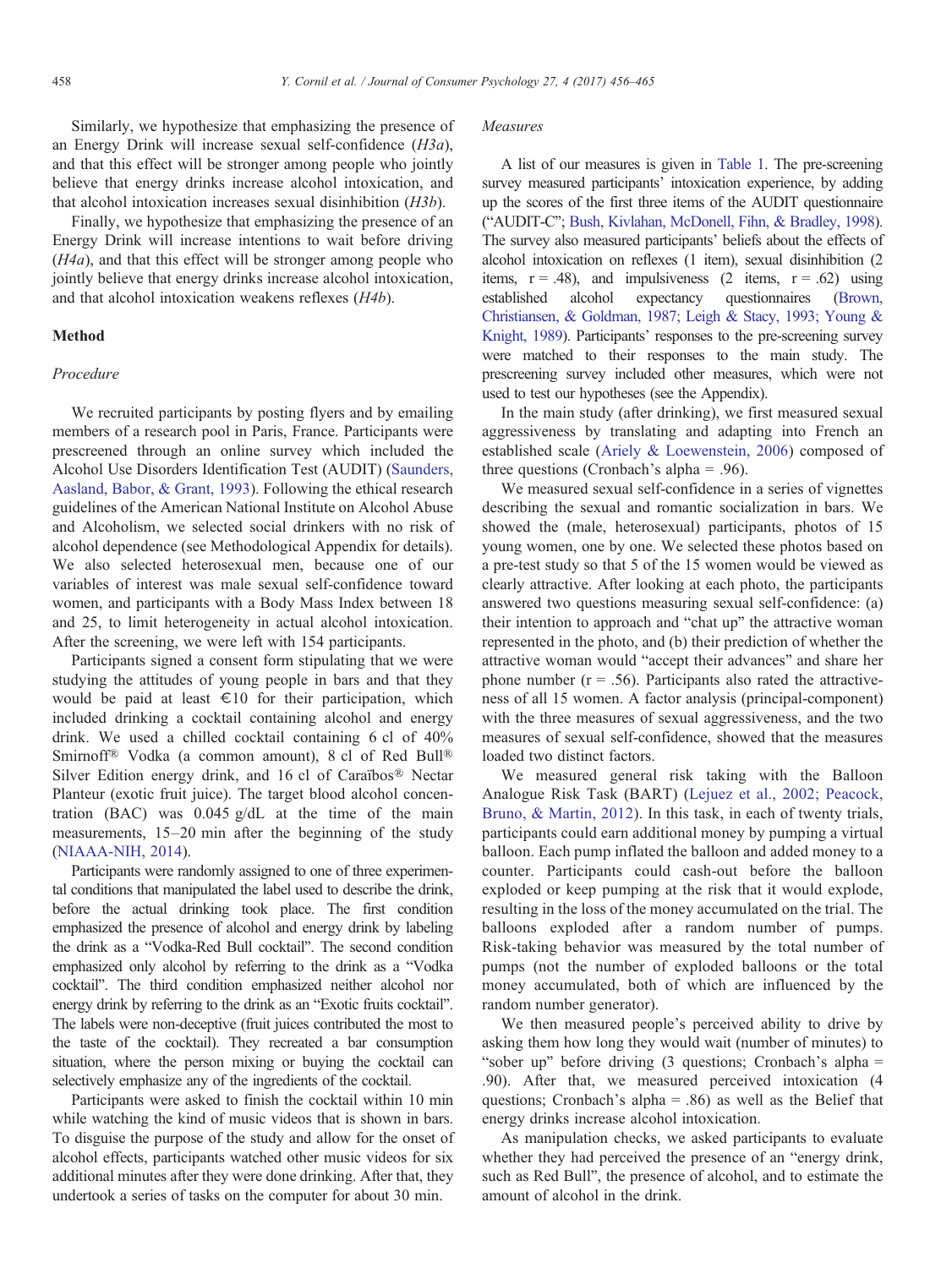Similarly, we hypothesize that emphasizing the presence of an Energy Drink will increase sexual self-confidence  $(H3a)$ , and that this effect will be stronger among people who jointly believe that energy drinks increase alcohol intoxication, and that alcohol intoxication increases sexual disinhibition (H3b).

Finally, we hypothesize that emphasizing the presence of an Energy Drink will increase intentions to wait before driving  $(H4a)$ , and that this effect will be stronger among people who jointly believe that energy drinks increase alcohol intoxication, and that alcohol intoxication weakens reflexes (H4b).

## Method

#### Procedure

We recruited participants by posting flyers and by emailing members of a research pool in Paris, France. Participants were prescreened through an online survey which included the Alcohol Use Disorders Identification Test (AUDIT) ([Saunders,](#page-9-0) [Aasland, Babor, & Grant, 1993\)](#page-9-0). Following the ethical research guidelines of the American National Institute on Alcohol Abuse and Alcoholism, we selected social drinkers with no risk of alcohol dependence (see Methodological Appendix for details). We also selected heterosexual men, because one of our variables of interest was male sexual self-confidence toward women, and participants with a Body Mass Index between 18 and 25, to limit heterogeneity in actual alcohol intoxication. After the screening, we were left with 154 participants.

Participants signed a consent form stipulating that we were studying the attitudes of young people in bars and that they would be paid at least €10 for their participation, which included drinking a cocktail containing alcohol and energy drink. We used a chilled cocktail containing 6 cl of 40% Smirnoff® Vodka (a common amount), 8 cl of Red Bull® Silver Edition energy drink, and 16 cl of Caraïbos® Nectar Planteur (exotic fruit juice). The target blood alcohol concentration (BAC) was 0.045 g/dL at the time of the main measurements, 15–20 min after the beginning of the study ([NIAAA-NIH, 2014](#page-8-0)).

Participants were randomly assigned to one of three experimental conditions that manipulated the label used to describe the drink, before the actual drinking took place. The first condition emphasized the presence of alcohol and energy drink by labeling the drink as a "Vodka-Red Bull cocktail". The second condition emphasized only alcohol by referring to the drink as a "Vodka cocktail". The third condition emphasized neither alcohol nor energy drink by referring to the drink as an "Exotic fruits cocktail". The labels were non-deceptive (fruit juices contributed the most to the taste of the cocktail). They recreated a bar consumption situation, where the person mixing or buying the cocktail can selectively emphasize any of the ingredients of the cocktail.

Participants were asked to finish the cocktail within 10 min while watching the kind of music videos that is shown in bars. To disguise the purpose of the study and allow for the onset of alcohol effects, participants watched other music videos for six additional minutes after they were done drinking. After that, they undertook a series of tasks on the computer for about 30 min.

#### Measures

A list of our measures is given in [Table 1](#page-3-0). The pre-screening survey measured participants' intoxication experience, by adding up the scores of the first three items of the AUDIT questionnaire ("AUDIT-C"; [Bush, Kivlahan, McDonell, Fihn, & Bradley, 1998](#page-8-0)). The survey also measured participants' beliefs about the effects of alcohol intoxication on reflexes (1 item), sexual disinhibition (2 items,  $r = .48$ ), and impulsiveness (2 items,  $r = .62$ ) using established alcohol expectancy questionnaires ([Brown,](#page-8-0) [Christiansen, & Goldman, 1987; Leigh & Stacy, 1993; Young &](#page-8-0) [Knight, 1989\)](#page-8-0). Participants' responses to the pre-screening survey were matched to their responses to the main study. The prescreening survey included other measures, which were not used to test our hypotheses (see the Appendix).

In the main study (after drinking), we first measured sexual aggressiveness by translating and adapting into French an established scale [\(Ariely & Loewenstein, 2006](#page-8-0)) composed of three questions (Cronbach's alpha = .96).

We measured sexual self-confidence in a series of vignettes describing the sexual and romantic socialization in bars. We showed the (male, heterosexual) participants, photos of 15 young women, one by one. We selected these photos based on a pre-test study so that 5 of the 15 women would be viewed as clearly attractive. After looking at each photo, the participants answered two questions measuring sexual self-confidence: (a) their intention to approach and "chat up" the attractive woman represented in the photo, and (b) their prediction of whether the attractive woman would "accept their advances" and share her phone number  $(r = .56)$ . Participants also rated the attractiveness of all 15 women. A factor analysis (principal-component) with the three measures of sexual aggressiveness, and the two measures of sexual self-confidence, showed that the measures loaded two distinct factors.

We measured general risk taking with the Balloon Analogue Risk Task (BART) [\(Lejuez et al., 2002; Peacock,](#page-8-0) [Bruno, & Martin, 2012\)](#page-8-0). In this task, in each of twenty trials, participants could earn additional money by pumping a virtual balloon. Each pump inflated the balloon and added money to a counter. Participants could cash-out before the balloon exploded or keep pumping at the risk that it would explode, resulting in the loss of the money accumulated on the trial. The balloons exploded after a random number of pumps. Risk-taking behavior was measured by the total number of pumps (not the number of exploded balloons or the total money accumulated, both of which are influenced by the random number generator).

We then measured people's perceived ability to drive by asking them how long they would wait (number of minutes) to "sober up" before driving (3 questions; Cronbach's alpha = .90). After that, we measured perceived intoxication (4 questions; Cronbach's alpha = .86) as well as the Belief that energy drinks increase alcohol intoxication.

As manipulation checks, we asked participants to evaluate whether they had perceived the presence of an "energy drink, such as Red Bull", the presence of alcohol, and to estimate the amount of alcohol in the drink.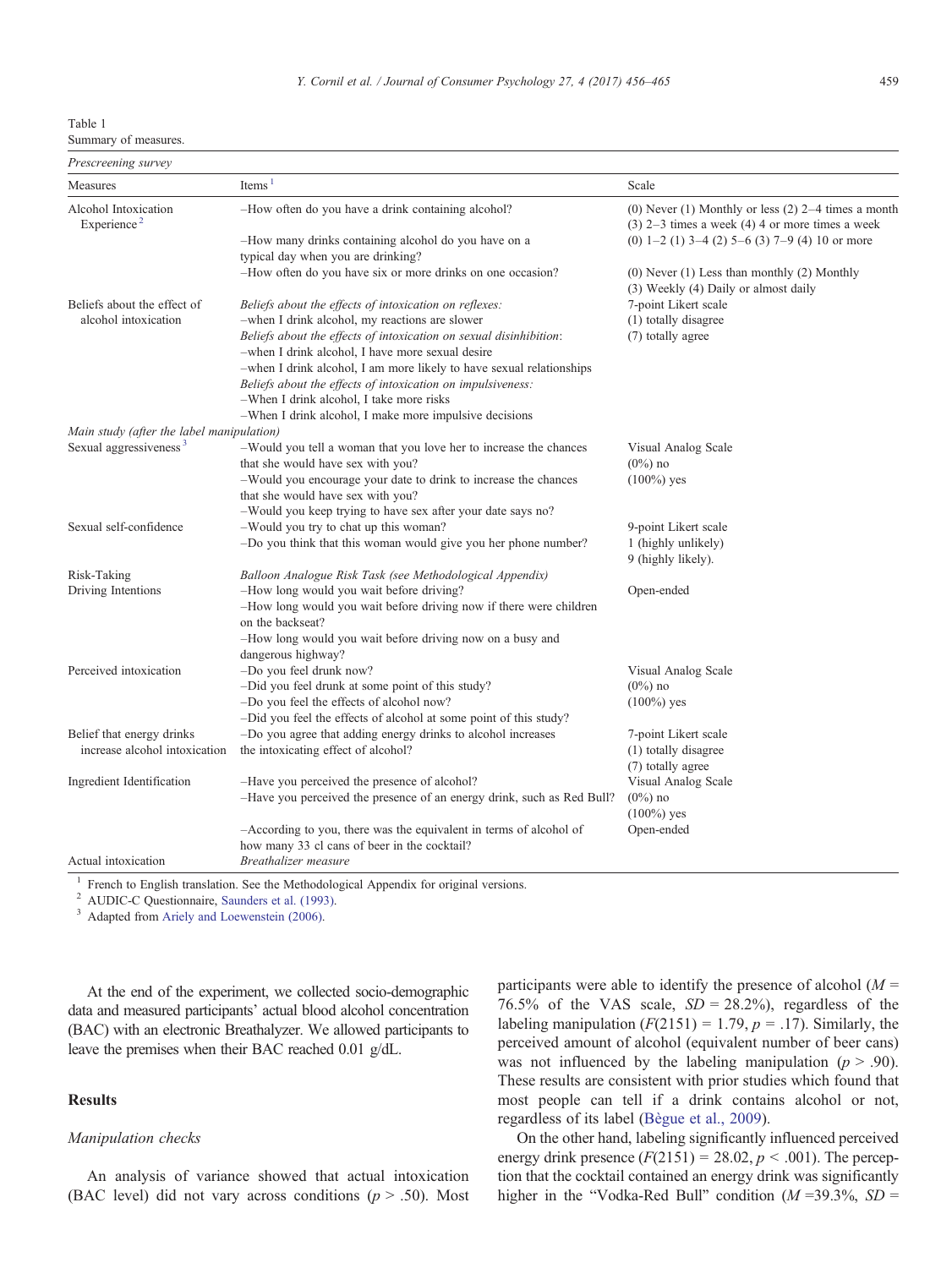<span id="page-3-0"></span>

| Table 1 |                      |
|---------|----------------------|
|         | Summary of measures. |

Prescreening survey

| Measures                                        | Items $1$                                                                                  | Scale                                                                                                        |
|-------------------------------------------------|--------------------------------------------------------------------------------------------|--------------------------------------------------------------------------------------------------------------|
| Alcohol Intoxication<br>Experience <sup>2</sup> | -How often do you have a drink containing alcohol?                                         | (0) Never (1) Monthly or less (2) $2-4$ times a month<br>$(3)$ 2-3 times a week $(4)$ 4 or more times a week |
|                                                 | -How many drinks containing alcohol do you have on a<br>typical day when you are drinking? | (0) 1–2 (1) 3–4 (2) 5–6 (3) 7–9 (4) 10 or more                                                               |
|                                                 | -How often do you have six or more drinks on one occasion?                                 | (0) Never (1) Less than monthly (2) Monthly<br>(3) Weekly (4) Daily or almost daily                          |
| Beliefs about the effect of                     | Beliefs about the effects of intoxication on reflexes:                                     | 7-point Likert scale                                                                                         |
| alcohol intoxication                            | -when I drink alcohol, my reactions are slower                                             | (1) totally disagree                                                                                         |
|                                                 | Beliefs about the effects of intoxication on sexual disinhibition:                         | (7) totally agree                                                                                            |
|                                                 | -when I drink alcohol, I have more sexual desire                                           |                                                                                                              |
|                                                 | -when I drink alcohol, I am more likely to have sexual relationships                       |                                                                                                              |
|                                                 | Beliefs about the effects of intoxication on impulsiveness:                                |                                                                                                              |
|                                                 | -When I drink alcohol, I take more risks                                                   |                                                                                                              |
|                                                 | -When I drink alcohol, I make more impulsive decisions                                     |                                                                                                              |
| Main study (after the label manipulation)       |                                                                                            |                                                                                                              |
| Sexual aggressiveness <sup>3</sup>              | -Would you tell a woman that you love her to increase the chances                          | Visual Analog Scale                                                                                          |
|                                                 | that she would have sex with you?                                                          | $(0\%)$ no                                                                                                   |
|                                                 | -Would you encourage your date to drink to increase the chances                            | $(100\%)$ yes                                                                                                |
|                                                 | that she would have sex with you?                                                          |                                                                                                              |
|                                                 | -Would you keep trying to have sex after your date says no?                                |                                                                                                              |
| Sexual self-confidence                          | -Would you try to chat up this woman?                                                      | 9-point Likert scale                                                                                         |
|                                                 | -Do you think that this woman would give you her phone number?                             | 1 (highly unlikely)                                                                                          |
|                                                 |                                                                                            | 9 (highly likely).                                                                                           |
| Risk-Taking                                     | Balloon Analogue Risk Task (see Methodological Appendix)                                   |                                                                                                              |
| Driving Intentions                              | -How long would you wait before driving?                                                   | Open-ended                                                                                                   |
|                                                 | -How long would you wait before driving now if there were children<br>on the backseat?     |                                                                                                              |
|                                                 | -How long would you wait before driving now on a busy and<br>dangerous highway?            |                                                                                                              |
| Perceived intoxication                          | -Do you feel drunk now?                                                                    | Visual Analog Scale                                                                                          |
|                                                 | -Did you feel drunk at some point of this study?                                           | $(0\%)$ no                                                                                                   |
|                                                 | -Do you feel the effects of alcohol now?                                                   | $(100\%)$ yes                                                                                                |
|                                                 | -Did you feel the effects of alcohol at some point of this study?                          |                                                                                                              |
| Belief that energy drinks                       | -Do you agree that adding energy drinks to alcohol increases                               | 7-point Likert scale                                                                                         |
| increase alcohol intoxication                   | the intoxicating effect of alcohol?                                                        | (1) totally disagree                                                                                         |
|                                                 |                                                                                            | (7) totally agree                                                                                            |
| Ingredient Identification                       | -Have you perceived the presence of alcohol?                                               | Visual Analog Scale                                                                                          |
|                                                 | -Have you perceived the presence of an energy drink, such as Red Bull?                     | $(0\%)$ no                                                                                                   |
|                                                 |                                                                                            | $(100\%)$ yes                                                                                                |
|                                                 | -According to you, there was the equivalent in terms of alcohol of                         | Open-ended                                                                                                   |
|                                                 | how many 33 cl cans of beer in the cocktail?                                               |                                                                                                              |
| Actual intoxication                             | <b>Breathalizer</b> measure                                                                |                                                                                                              |

<sup>1</sup> French to English translation. See the Methodological Appendix for original versions.<br><sup>2</sup> AUDIC-C Questionnaire, [Saunders et al. \(1993\).](#page-9-0)<br><sup>3</sup> Adapted from [Ariely and Loewenstein \(2006\)](#page-8-0).

At the end of the experiment, we collected socio-demographic data and measured participants' actual blood alcohol concentration (BAC) with an electronic Breathalyzer. We allowed participants to leave the premises when their BAC reached 0.01 g/dL.

# Results

# Manipulation checks

An analysis of variance showed that actual intoxication (BAC level) did not vary across conditions ( $p > .50$ ). Most participants were able to identify the presence of alcohol  $(M =$ 76.5% of the VAS scale,  $SD = 28.2\%$ ), regardless of the labeling manipulation  $(F(2151) = 1.79, p = .17)$ . Similarly, the perceived amount of alcohol (equivalent number of beer cans) was not influenced by the labeling manipulation ( $p > .90$ ). These results are consistent with prior studies which found that most people can tell if a drink contains alcohol or not, regardless of its label [\(Bègue et al., 2009\)](#page-8-0).

On the other hand, labeling significantly influenced perceived energy drink presence  $(F(2151) = 28.02, p < .001)$ . The perception that the cocktail contained an energy drink was significantly higher in the "Vodka-Red Bull" condition ( $M = 39.3\%$ ,  $SD =$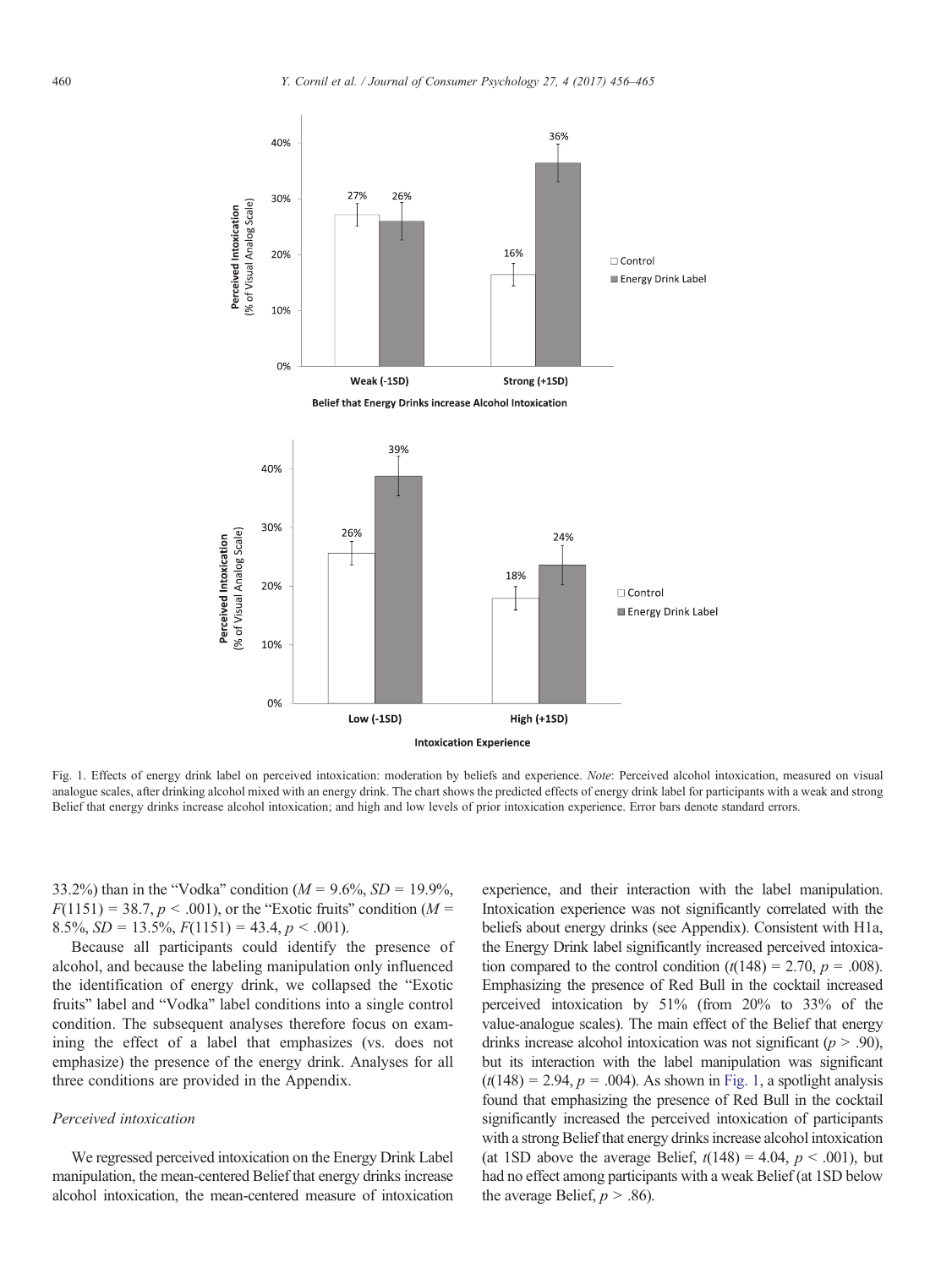

Fig. 1. Effects of energy drink label on perceived intoxication: moderation by beliefs and experience. Note: Perceived alcohol intoxication, measured on visual analogue scales, after drinking alcohol mixed with an energy drink. The chart shows the predicted effects of energy drink label for participants with a weak and strong Belief that energy drinks increase alcohol intoxication; and high and low levels of prior intoxication experience. Error bars denote standard errors.

**Intoxication Experience** 

High (+1SD)

33.2%) than in the "Vodka" condition ( $M = 9.6$ %,  $SD = 19.9$ %,  $F(1151) = 38.7, p < .001$ ), or the "Exotic fruits" condition (M = 8.5%,  $SD = 13.5\%, F(1151) = 43.4, p < .001$ .

10%

0%

Low (-1SD)

Because all participants could identify the presence of alcohol, and because the labeling manipulation only influenced the identification of energy drink, we collapsed the "Exotic fruits" label and "Vodka" label conditions into a single control condition. The subsequent analyses therefore focus on examining the effect of a label that emphasizes (vs. does not emphasize) the presence of the energy drink. Analyses for all three conditions are provided in the Appendix.

#### Perceived intoxication

We regressed perceived intoxication on the Energy Drink Label manipulation, the mean-centered Belief that energy drinks increase alcohol intoxication, the mean-centered measure of intoxication experience, and their interaction with the label manipulation. Intoxication experience was not significantly correlated with the beliefs about energy drinks (see Appendix). Consistent with H1a, the Energy Drink label significantly increased perceived intoxication compared to the control condition  $(t(148) = 2.70, p = .008)$ . Emphasizing the presence of Red Bull in the cocktail increased perceived intoxication by 51% (from 20% to 33% of the value-analogue scales). The main effect of the Belief that energy drinks increase alcohol intoxication was not significant ( $p > .90$ ), but its interaction with the label manipulation was significant  $(t(148) = 2.94, p = .004)$ . As shown in Fig. 1, a spotlight analysis found that emphasizing the presence of Red Bull in the cocktail significantly increased the perceived intoxication of participants with a strong Belief that energy drinks increase alcohol intoxication (at 1SD above the average Belief,  $t(148) = 4.04$ ,  $p < .001$ ), but had no effect among participants with a weak Belief (at 1SD below the average Belief,  $p > .86$ ).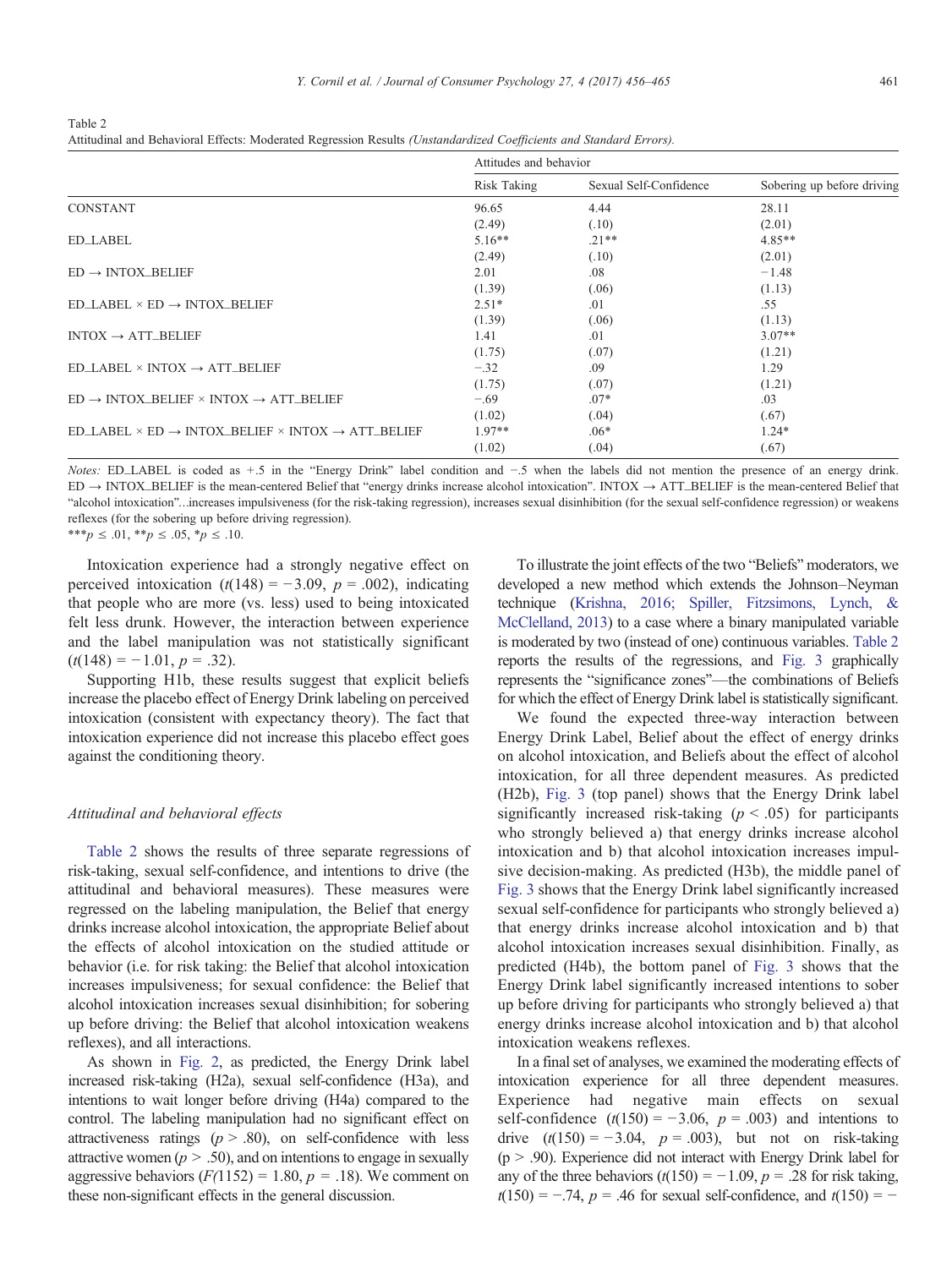<span id="page-5-0"></span>Table 2

| Attitudinal and Behavioral Effects: Moderated Regression Results (Unstandardized Coefficients and Standard Errors). |  |  |  |  |
|---------------------------------------------------------------------------------------------------------------------|--|--|--|--|
|---------------------------------------------------------------------------------------------------------------------|--|--|--|--|

|                                                                                         | Attitudes and behavior |                        |                            |  |
|-----------------------------------------------------------------------------------------|------------------------|------------------------|----------------------------|--|
|                                                                                         | Risk Taking            | Sexual Self-Confidence | Sobering up before driving |  |
| <b>CONSTANT</b>                                                                         | 96.65                  | 4.44                   | 28.11                      |  |
|                                                                                         | (2.49)                 | (.10)                  | (2.01)                     |  |
| <b>ED_LABEL</b>                                                                         | $5.16**$               | $.21**$                | $4.85**$                   |  |
|                                                                                         | (2.49)                 | (.10)                  | (2.01)                     |  |
| $ED \rightarrow INTOX$ BELIEF                                                           | 2.01                   | .08                    | $-1.48$                    |  |
|                                                                                         | (1.39)                 | (.06)                  | (1.13)                     |  |
| $ED\_LABEL \times ED \rightarrow INTOX\_BELIEF$                                         | $2.51*$                | .01                    | .55                        |  |
|                                                                                         | (1.39)                 | (.06)                  | (1.13)                     |  |
| $INTOX \rightarrow ATT\_BELIEF$                                                         | 1.41                   | .01                    | $3.07**$                   |  |
|                                                                                         | (1.75)                 | (.07)                  | (1.21)                     |  |
| $ED\_LABEL \times INTOX \rightarrow ATT\_BELIEF$                                        | $-.32$                 | .09                    | 1.29                       |  |
|                                                                                         | (1.75)                 | (.07)                  | (1.21)                     |  |
| $ED \rightarrow INTOX$ BELIEF $\times INTOX \rightarrow ATT$ BELIEF                     | $-.69$                 | $.07*$                 | .03                        |  |
|                                                                                         | (1.02)                 | (.04)                  | (.67)                      |  |
| ED_LABEL $\times$ ED $\rightarrow$ INTOX_BELIEF $\times$ INTOX $\rightarrow$ ATT_BELIEF | $1.97**$               | $.06*$                 | $1.24*$                    |  |
|                                                                                         | (1.02)                 | (.04)                  | (.67)                      |  |

Notes: ED\_LABEL is coded as +.5 in the "Energy Drink" label condition and -.5 when the labels did not mention the presence of an energy drink.  $ED \rightarrow \text{INTOX-BELIEF}$  is the mean-centered Belief that "energy drinks increase alcohol intoxication". INTOX  $\rightarrow$  ATT\_BELIEF is the mean-centered Belief that "alcohol intoxication"…increases impulsiveness (for the risk-taking regression), increases sexual disinhibition (for the sexual self-confidence regression) or weakens reflexes (for the sobering up before driving regression).

\*\*\* $p \leq .01$ , \*\* $p \leq .05$ , \* $p \leq .10$ .

Intoxication experience had a strongly negative effect on perceived intoxication  $(t(148) = -3.09, p = .002)$ , indicating that people who are more (vs. less) used to being intoxicated felt less drunk. However, the interaction between experience and the label manipulation was not statistically significant  $(t(148) = -1.01, p = .32).$ 

Supporting H1b, these results suggest that explicit beliefs increase the placebo effect of Energy Drink labeling on perceived intoxication (consistent with expectancy theory). The fact that intoxication experience did not increase this placebo effect goes against the conditioning theory.

#### Attitudinal and behavioral effects

Table 2 shows the results of three separate regressions of risk-taking, sexual self-confidence, and intentions to drive (the attitudinal and behavioral measures). These measures were regressed on the labeling manipulation, the Belief that energy drinks increase alcohol intoxication, the appropriate Belief about the effects of alcohol intoxication on the studied attitude or behavior (i.e. for risk taking: the Belief that alcohol intoxication increases impulsiveness; for sexual confidence: the Belief that alcohol intoxication increases sexual disinhibition; for sobering up before driving: the Belief that alcohol intoxication weakens reflexes), and all interactions.

As shown in [Fig. 2](#page-6-0), as predicted, the Energy Drink label increased risk-taking (H2a), sexual self-confidence (H3a), and intentions to wait longer before driving (H4a) compared to the control. The labeling manipulation had no significant effect on attractiveness ratings  $(p > .80)$ , on self-confidence with less attractive women ( $p > .50$ ), and on intentions to engage in sexually aggressive behaviors  $(F(1152) = 1.80, p = .18)$ . We comment on these non-significant effects in the general discussion.

To illustrate the joint effects of the two "Beliefs" moderators, we developed a new method which extends the Johnson–Neyman technique [\(Krishna, 2016; Spiller, Fitzsimons, Lynch, &](#page-8-0) [McClelland, 2013](#page-8-0)) to a case where a binary manipulated variable is moderated by two (instead of one) continuous variables. Table 2 reports the results of the regressions, and [Fig. 3](#page-7-0) graphically represents the "significance zones"—the combinations of Beliefs for which the effect of Energy Drink label is statistically significant.

We found the expected three-way interaction between Energy Drink Label, Belief about the effect of energy drinks on alcohol intoxication, and Beliefs about the effect of alcohol intoxication, for all three dependent measures. As predicted (H2b), [Fig. 3](#page-7-0) (top panel) shows that the Energy Drink label significantly increased risk-taking ( $p < .05$ ) for participants who strongly believed a) that energy drinks increase alcohol intoxication and b) that alcohol intoxication increases impulsive decision-making. As predicted (H3b), the middle panel of [Fig. 3](#page-7-0) shows that the Energy Drink label significantly increased sexual self-confidence for participants who strongly believed a) that energy drinks increase alcohol intoxication and b) that alcohol intoxication increases sexual disinhibition. Finally, as predicted (H4b), the bottom panel of [Fig. 3](#page-7-0) shows that the Energy Drink label significantly increased intentions to sober up before driving for participants who strongly believed a) that energy drinks increase alcohol intoxication and b) that alcohol intoxication weakens reflexes.

In a final set of analyses, we examined the moderating effects of intoxication experience for all three dependent measures. Experience had negative main effects on sexual self-confidence  $(t(150) = -3.06, p = .003)$  and intentions to drive  $(t(150) = -3.04, p = .003)$ , but not on risk-taking  $(p > .90)$ . Experience did not interact with Energy Drink label for any of the three behaviors ( $t(150) = -1.09$ ,  $p = .28$  for risk taking,  $t(150) = -.74$ ,  $p = .46$  for sexual self-confidence, and  $t(150) = -$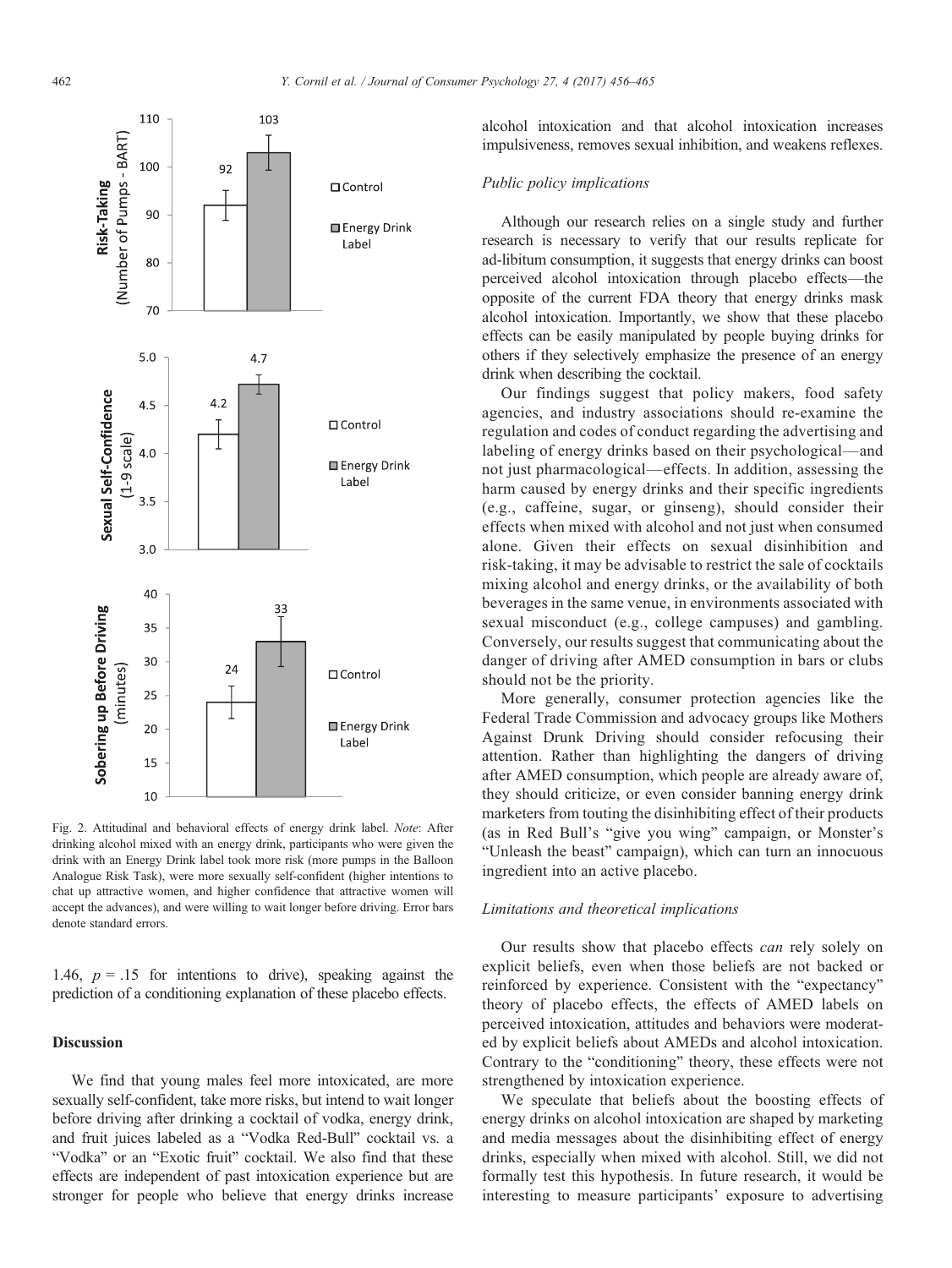<span id="page-6-0"></span>

Fig. 2. Attitudinal and behavioral effects of energy drink label. Note: After drinking alcohol mixed with an energy drink, participants who were given the drink with an Energy Drink label took more risk (more pumps in the Balloon Analogue Risk Task), were more sexually self-confident (higher intentions to chat up attractive women, and higher confidence that attractive women will accept the advances), and were willing to wait longer before driving. Error bars denote standard errors.

1.46,  $p = 0.15$  for intentions to drive), speaking against the prediction of a conditioning explanation of these placebo effects.

## Discussion

We find that young males feel more intoxicated, are more sexually self-confident, take more risks, but intend to wait longer before driving after drinking a cocktail of vodka, energy drink, and fruit juices labeled as a "Vodka Red-Bull" cocktail vs. a "Vodka" or an "Exotic fruit" cocktail. We also find that these effects are independent of past intoxication experience but are stronger for people who believe that energy drinks increase

alcohol intoxication and that alcohol intoxication increases impulsiveness, removes sexual inhibition, and weakens reflexes.

# Public policy implications

Although our research relies on a single study and further research is necessary to verify that our results replicate for ad-libitum consumption, it suggests that energy drinks can boost perceived alcohol intoxication through placebo effects—the opposite of the current FDA theory that energy drinks mask alcohol intoxication. Importantly, we show that these placebo effects can be easily manipulated by people buying drinks for others if they selectively emphasize the presence of an energy drink when describing the cocktail.

Our findings suggest that policy makers, food safety agencies, and industry associations should re-examine the regulation and codes of conduct regarding the advertising and labeling of energy drinks based on their psychological—and not just pharmacological—effects. In addition, assessing the harm caused by energy drinks and their specific ingredients (e.g., caffeine, sugar, or ginseng), should consider their effects when mixed with alcohol and not just when consumed alone. Given their effects on sexual disinhibition and risk-taking, it may be advisable to restrict the sale of cocktails mixing alcohol and energy drinks, or the availability of both beverages in the same venue, in environments associated with sexual misconduct (e.g., college campuses) and gambling. Conversely, our results suggest that communicating about the danger of driving after AMED consumption in bars or clubs should not be the priority.

More generally, consumer protection agencies like the Federal Trade Commission and advocacy groups like Mothers Against Drunk Driving should consider refocusing their attention. Rather than highlighting the dangers of driving after AMED consumption, which people are already aware of, they should criticize, or even consider banning energy drink marketers from touting the disinhibiting effect of their products (as in Red Bull's "give you wing" campaign, or Monster's "Unleash the beast" campaign), which can turn an innocuous ingredient into an active placebo.

#### Limitations and theoretical implications

Our results show that placebo effects can rely solely on explicit beliefs, even when those beliefs are not backed or reinforced by experience. Consistent with the "expectancy" theory of placebo effects, the effects of AMED labels on perceived intoxication, attitudes and behaviors were moderated by explicit beliefs about AMEDs and alcohol intoxication. Contrary to the "conditioning" theory, these effects were not strengthened by intoxication experience.

We speculate that beliefs about the boosting effects of energy drinks on alcohol intoxication are shaped by marketing and media messages about the disinhibiting effect of energy drinks, especially when mixed with alcohol. Still, we did not formally test this hypothesis. In future research, it would be interesting to measure participants' exposure to advertising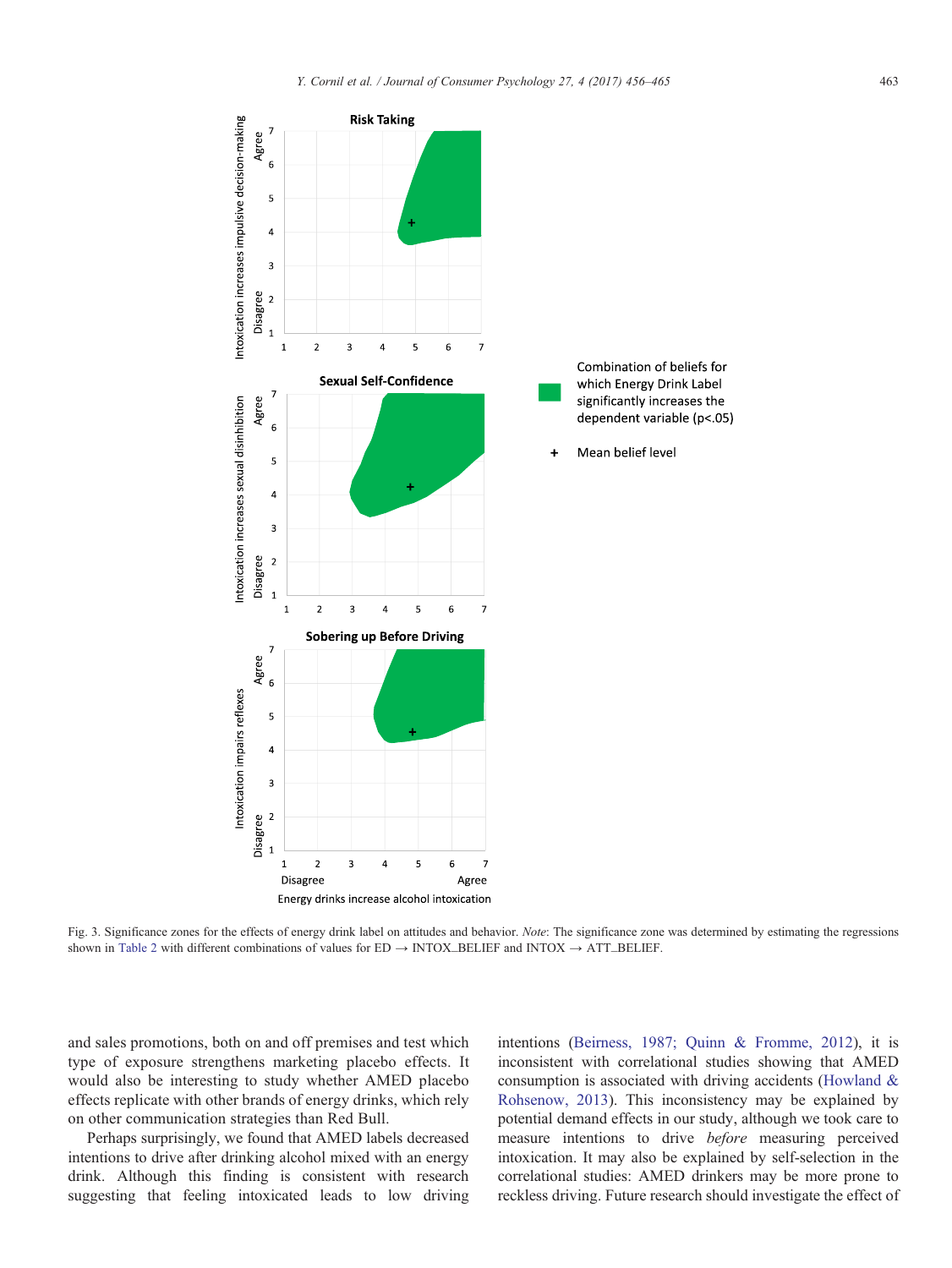<span id="page-7-0"></span>

Fig. 3. Significance zones for the effects of energy drink label on attitudes and behavior. Note: The significance zone was determined by estimating the regressions shown in [Table 2](#page-5-0) with different combinations of values for ED  $\rightarrow$  INTOX\_BELIEF and INTOX  $\rightarrow$  ATT\_BELIEF.

and sales promotions, both on and off premises and test which type of exposure strengthens marketing placebo effects. It would also be interesting to study whether AMED placebo effects replicate with other brands of energy drinks, which rely on other communication strategies than Red Bull.

Perhaps surprisingly, we found that AMED labels decreased intentions to drive after drinking alcohol mixed with an energy drink. Although this finding is consistent with research suggesting that feeling intoxicated leads to low driving intentions [\(Beirness, 1987; Quinn & Fromme, 2012\)](#page-8-0), it is inconsistent with correlational studies showing that AMED consumption is associated with driving accidents [\(Howland &](#page-8-0) [Rohsenow, 2013\)](#page-8-0). This inconsistency may be explained by potential demand effects in our study, although we took care to measure intentions to drive before measuring perceived intoxication. It may also be explained by self-selection in the correlational studies: AMED drinkers may be more prone to reckless driving. Future research should investigate the effect of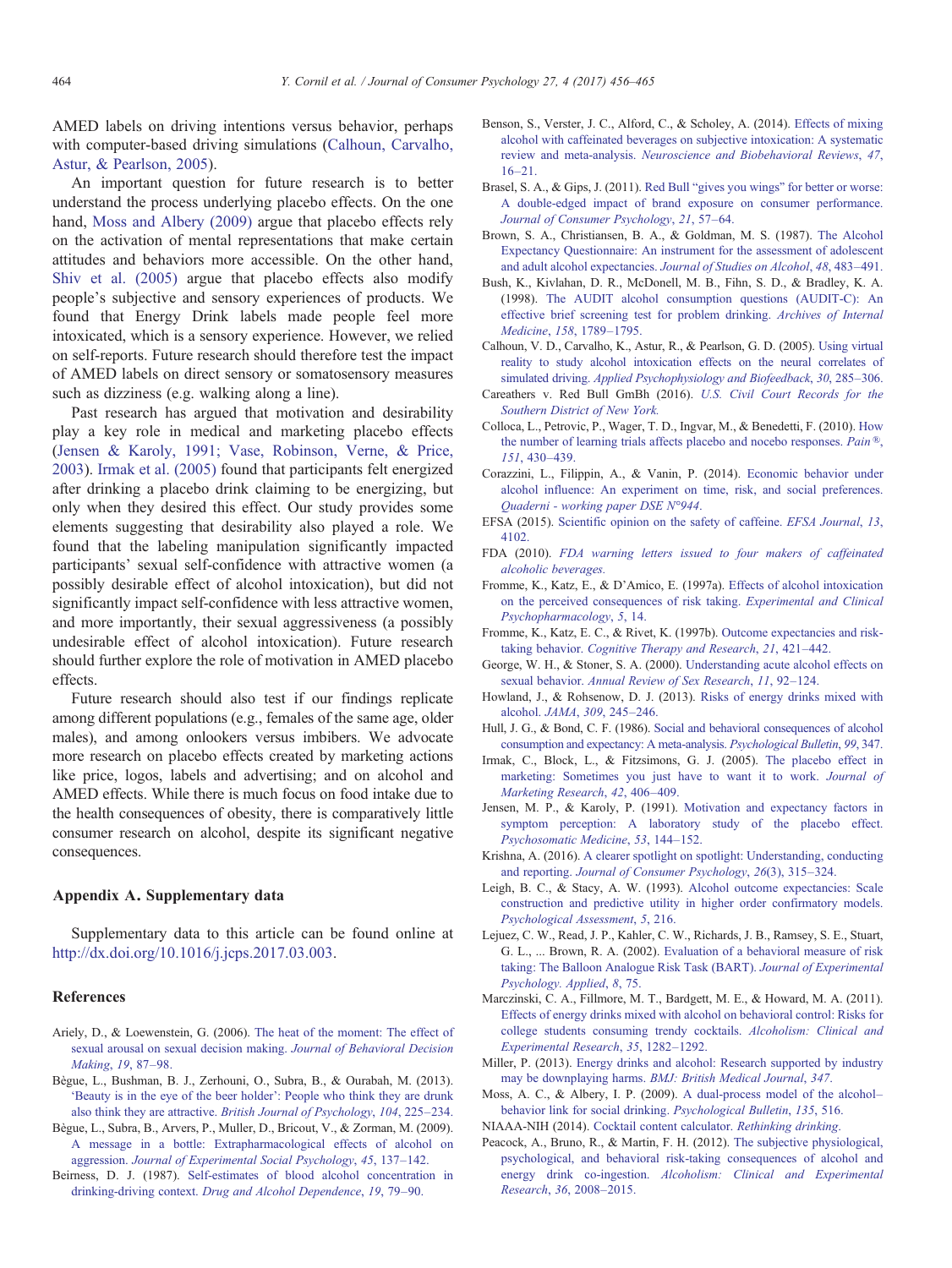<span id="page-8-0"></span>AMED labels on driving intentions versus behavior, perhaps with computer-based driving simulations (Calhoun, Carvalho, Astur, & Pearlson, 2005).

An important question for future research is to better understand the process underlying placebo effects. On the one hand, Moss and Albery (2009) argue that placebo effects rely on the activation of mental representations that make certain attitudes and behaviors more accessible. On the other hand, [Shiv et al. \(2005\)](#page-9-0) argue that placebo effects also modify people's subjective and sensory experiences of products. We found that Energy Drink labels made people feel more intoxicated, which is a sensory experience. However, we relied on self-reports. Future research should therefore test the impact of AMED labels on direct sensory or somatosensory measures such as dizziness (e.g. walking along a line).

Past research has argued that motivation and desirability play a key role in medical and marketing placebo effects (Jensen & Karoly, 1991; Vase, Robinson, Verne, & Price, 2003). Irmak et al. (2005) found that participants felt energized after drinking a placebo drink claiming to be energizing, but only when they desired this effect. Our study provides some elements suggesting that desirability also played a role. We found that the labeling manipulation significantly impacted participants' sexual self-confidence with attractive women (a possibly desirable effect of alcohol intoxication), but did not significantly impact self-confidence with less attractive women, and more importantly, their sexual aggressiveness (a possibly undesirable effect of alcohol intoxication). Future research should further explore the role of motivation in AMED placebo effects.

Future research should also test if our findings replicate among different populations (e.g., females of the same age, older males), and among onlookers versus imbibers. We advocate more research on placebo effects created by marketing actions like price, logos, labels and advertising; and on alcohol and AMED effects. While there is much focus on food intake due to the health consequences of obesity, there is comparatively little consumer research on alcohol, despite its significant negative consequences.

#### Appendix A. Supplementary data

Supplementary data to this article can be found online at [http://dx.doi.org/10.1016/j.jcps.2017.03.003](http://dx.doi.org/).

#### References

- Ariely, D., & Loewenstein, G. (2006). [The heat of the moment: The effect of](http://refhub.elsevier.com/S1057-7408(17)30017-7/rf0005) [sexual arousal on sexual decision making.](http://refhub.elsevier.com/S1057-7408(17)30017-7/rf0005) Journal of Behavioral Decision [Making](http://refhub.elsevier.com/S1057-7408(17)30017-7/rf0005), 19, 87–98.
- Bègue, L., Bushman, B. J., Zerhouni, O., Subra, B., & Ourabah, M. (2013). '[Beauty is in the eye of the beer holder](http://refhub.elsevier.com/S1057-7408(17)30017-7/rf0010)': People who think they are drunk also think they are attractive. [British Journal of Psychology](http://refhub.elsevier.com/S1057-7408(17)30017-7/rf0010), 104, 225–234.
- Bègue, L., Subra, B., Arvers, P., Muller, D., Bricout, V., & Zorman, M. (2009). [A message in a bottle: Extrapharmacological effects of alcohol on](http://refhub.elsevier.com/S1057-7408(17)30017-7/rf0015) aggression. [Journal of Experimental Social Psychology](http://refhub.elsevier.com/S1057-7408(17)30017-7/rf0015), 45, 137–142.
- Beirness, D. J. (1987). [Self-estimates of blood alcohol concentration in](http://refhub.elsevier.com/S1057-7408(17)30017-7/rf0020) drinking-driving context. [Drug and Alcohol Dependence](http://refhub.elsevier.com/S1057-7408(17)30017-7/rf0020), 19, 79–90.
- Benson, S., Verster, J. C., Alford, C., & Scholey, A. (2014). [Effects of mixing](http://refhub.elsevier.com/S1057-7408(17)30017-7/rf0025) [alcohol with caffeinated beverages on subjective intoxication: A systematic](http://refhub.elsevier.com/S1057-7408(17)30017-7/rf0025) review and meta-analysis. [Neuroscience and Biobehavioral Reviews](http://refhub.elsevier.com/S1057-7408(17)30017-7/rf0025), 47, 16–[21.](http://refhub.elsevier.com/S1057-7408(17)30017-7/rf0025)
- Brasel, S. A., & Gips, J. (2011). Red Bull "gives you wings" [for better or worse:](http://refhub.elsevier.com/S1057-7408(17)30017-7/rf0030) [A double-edged impact of brand exposure on consumer performance.](http://refhub.elsevier.com/S1057-7408(17)30017-7/rf0030) [Journal of Consumer Psychology](http://refhub.elsevier.com/S1057-7408(17)30017-7/rf0030), 21, 57–64.
- Brown, S. A., Christiansen, B. A., & Goldman, M. S. (1987). [The Alcohol](http://refhub.elsevier.com/S1057-7408(17)30017-7/rf0035) [Expectancy Questionnaire: An instrument for the assessment of adolescent](http://refhub.elsevier.com/S1057-7408(17)30017-7/rf0035) [and adult alcohol expectancies.](http://refhub.elsevier.com/S1057-7408(17)30017-7/rf0035) Journal of Studies on Alcohol, 48, 483–491.
- Bush, K., Kivlahan, D. R., McDonell, M. B., Fihn, S. D., & Bradley, K. A. (1998). [The AUDIT alcohol consumption questions \(AUDIT-C\): An](http://refhub.elsevier.com/S1057-7408(17)30017-7/rf0040) [effective brief screening test for problem drinking.](http://refhub.elsevier.com/S1057-7408(17)30017-7/rf0040) Archives of Internal [Medicine](http://refhub.elsevier.com/S1057-7408(17)30017-7/rf0040), 158, 1789–1795.
- Calhoun, V. D., Carvalho, K., Astur, R., & Pearlson, G. D. (2005). [Using virtual](http://refhub.elsevier.com/S1057-7408(17)30017-7/rf0045) [reality to study alcohol intoxication effects on the neural correlates of](http://refhub.elsevier.com/S1057-7408(17)30017-7/rf0045) simulated driving. [Applied Psychophysiology and Biofeedback](http://refhub.elsevier.com/S1057-7408(17)30017-7/rf0045), 30, 285–306.
- Careathers v. Red Bull GmBh (2016). [U.S. Civil Court Records for the](http://refhub.elsevier.com/S1057-7408(17)30017-7/rf0050) [Southern District of New York.](http://refhub.elsevier.com/S1057-7408(17)30017-7/rf0050)
- Colloca, L., Petrovic, P., Wager, T. D., Ingvar, M., & Benedetti, F. (2010). [How](http://refhub.elsevier.com/S1057-7408(17)30017-7/rf0055) [the number of learning trials affects placebo and nocebo responses.](http://refhub.elsevier.com/S1057-7408(17)30017-7/rf0055) Pain®, 151[, 430](http://refhub.elsevier.com/S1057-7408(17)30017-7/rf0055)–439.
- Corazzini, L., Filippin, A., & Vanin, P. (2014). [Economic behavior under](http://refhub.elsevier.com/S1057-7408(17)30017-7/rf0060) [alcohol influence: An experiment on time, risk, and social preferences.](http://refhub.elsevier.com/S1057-7408(17)30017-7/rf0060) [Quaderni - working paper DSE N°944](http://refhub.elsevier.com/S1057-7408(17)30017-7/rf0060).
- EFSA (2015). [Scientific opinion on the safety of caffeine.](http://refhub.elsevier.com/S1057-7408(17)30017-7/rf0065) EFSA Journal, 13, [4102.](http://refhub.elsevier.com/S1057-7408(17)30017-7/rf0065)
- FDA (2010). [FDA warning letters issued to four makers of caffeinated](http://refhub.elsevier.com/S1057-7408(17)30017-7/rf0070) [alcoholic beverages.](http://refhub.elsevier.com/S1057-7408(17)30017-7/rf0070)
- Fromme, K., Katz, E., & D'Amico, E. (1997a). [Effects of alcohol intoxication](http://refhub.elsevier.com/S1057-7408(17)30017-7/rf0075) [on the perceived consequences of risk taking.](http://refhub.elsevier.com/S1057-7408(17)30017-7/rf0075) Experimental and Clinical [Psychopharmacology](http://refhub.elsevier.com/S1057-7408(17)30017-7/rf0075), 5, 14.
- Fromme, K., Katz, E. C., & Rivet, K. (1997b). [Outcome expectancies and risk](http://refhub.elsevier.com/S1057-7408(17)30017-7/rf0080)taking behavior. [Cognitive Therapy and Research](http://refhub.elsevier.com/S1057-7408(17)30017-7/rf0080), 21, 421–442.
- George, W. H., & Stoner, S. A. (2000). [Understanding acute alcohol effects on](http://refhub.elsevier.com/S1057-7408(17)30017-7/rf0085) sexual behavior. [Annual Review of Sex Research](http://refhub.elsevier.com/S1057-7408(17)30017-7/rf0085), 11, 92–124.
- Howland, J., & Rohsenow, D. J. (2013). [Risks of energy drinks mixed with](http://refhub.elsevier.com/S1057-7408(17)30017-7/rf0090) [alcohol.](http://refhub.elsevier.com/S1057-7408(17)30017-7/rf0090) JAMA, 309, 245–246.
- Hull, J. G., & Bond, C. F. (1986). [Social and behavioral consequences of alcohol](http://refhub.elsevier.com/S1057-7408(17)30017-7/rf0095) [consumption and expectancy: A meta-analysis.](http://refhub.elsevier.com/S1057-7408(17)30017-7/rf0095) Psychological Bulletin, 99, 347.
- Irmak, C., Block, L., & Fitzsimons, G. J. (2005). [The placebo effect in](http://refhub.elsevier.com/S1057-7408(17)30017-7/rf0100) [marketing: Sometimes you just have to want it to work.](http://refhub.elsevier.com/S1057-7408(17)30017-7/rf0100) Journal of [Marketing Research](http://refhub.elsevier.com/S1057-7408(17)30017-7/rf0100), 42, 406–409.
- Jensen, M. P., & Karoly, P. (1991). [Motivation and expectancy factors in](http://refhub.elsevier.com/S1057-7408(17)30017-7/rf0105) [symptom perception: A laboratory study of the placebo effect.](http://refhub.elsevier.com/S1057-7408(17)30017-7/rf0105) [Psychosomatic Medicine](http://refhub.elsevier.com/S1057-7408(17)30017-7/rf0105), 53, 144–152.
- Krishna, A. (2016). [A clearer spotlight on spotlight: Understanding, conducting](http://refhub.elsevier.com/S1057-7408(17)30017-7/rf0110) and reporting. [Journal of Consumer Psychology](http://refhub.elsevier.com/S1057-7408(17)30017-7/rf0110), 26(3), 315–324.
- Leigh, B. C., & Stacy, A. W. (1993). [Alcohol outcome expectancies: Scale](http://refhub.elsevier.com/S1057-7408(17)30017-7/rf0115) [construction and predictive utility in higher order confirmatory models.](http://refhub.elsevier.com/S1057-7408(17)30017-7/rf0115) [Psychological Assessment](http://refhub.elsevier.com/S1057-7408(17)30017-7/rf0115), 5, 216.
- Lejuez, C. W., Read, J. P., Kahler, C. W., Richards, J. B., Ramsey, S. E., Stuart, G. L., ... Brown, R. A. (2002). [Evaluation of a behavioral measure of risk](http://refhub.elsevier.com/S1057-7408(17)30017-7/rf0120) [taking: The Balloon Analogue Risk Task \(BART\).](http://refhub.elsevier.com/S1057-7408(17)30017-7/rf0120) Journal of Experimental [Psychology. Applied](http://refhub.elsevier.com/S1057-7408(17)30017-7/rf0120), 8, 75.
- Marczinski, C. A., Fillmore, M. T., Bardgett, M. E., & Howard, M. A. (2011). [Effects of energy drinks mixed with alcohol on behavioral control: Risks for](http://refhub.elsevier.com/S1057-7408(17)30017-7/rf0125) [college students consuming trendy cocktails.](http://refhub.elsevier.com/S1057-7408(17)30017-7/rf0125) Alcoholism: Clinical and [Experimental Research](http://refhub.elsevier.com/S1057-7408(17)30017-7/rf0125), 35, 1282–1292.
- Miller, P. (2013). [Energy drinks and alcohol: Research supported by industry](http://refhub.elsevier.com/S1057-7408(17)30017-7/rf0130) may be downplaying harms. [BMJ: British Medical Journal](http://refhub.elsevier.com/S1057-7408(17)30017-7/rf0130), 347.
- Moss, A. C., & Albery, I. P. (2009). [A dual-process model of the alcohol](http://refhub.elsevier.com/S1057-7408(17)30017-7/rf0135) [behavior link for social drinking.](http://refhub.elsevier.com/S1057-7408(17)30017-7/rf0135) Psychological Bulletin, 135, 516.
- NIAAA-NIH (2014). [Cocktail content calculator.](http://refhub.elsevier.com/S1057-7408(17)30017-7/rf0140) Rethinking drinking.
- Peacock, A., Bruno, R., & Martin, F. H. (2012). [The subjective physiological,](http://refhub.elsevier.com/S1057-7408(17)30017-7/rf0145) [psychological, and behavioral risk-taking consequences of alcohol and](http://refhub.elsevier.com/S1057-7408(17)30017-7/rf0145) energy drink co-ingestion. [Alcoholism: Clinical and Experimental](http://refhub.elsevier.com/S1057-7408(17)30017-7/rf0145) [Research](http://refhub.elsevier.com/S1057-7408(17)30017-7/rf0145), 36, 2008–2015.